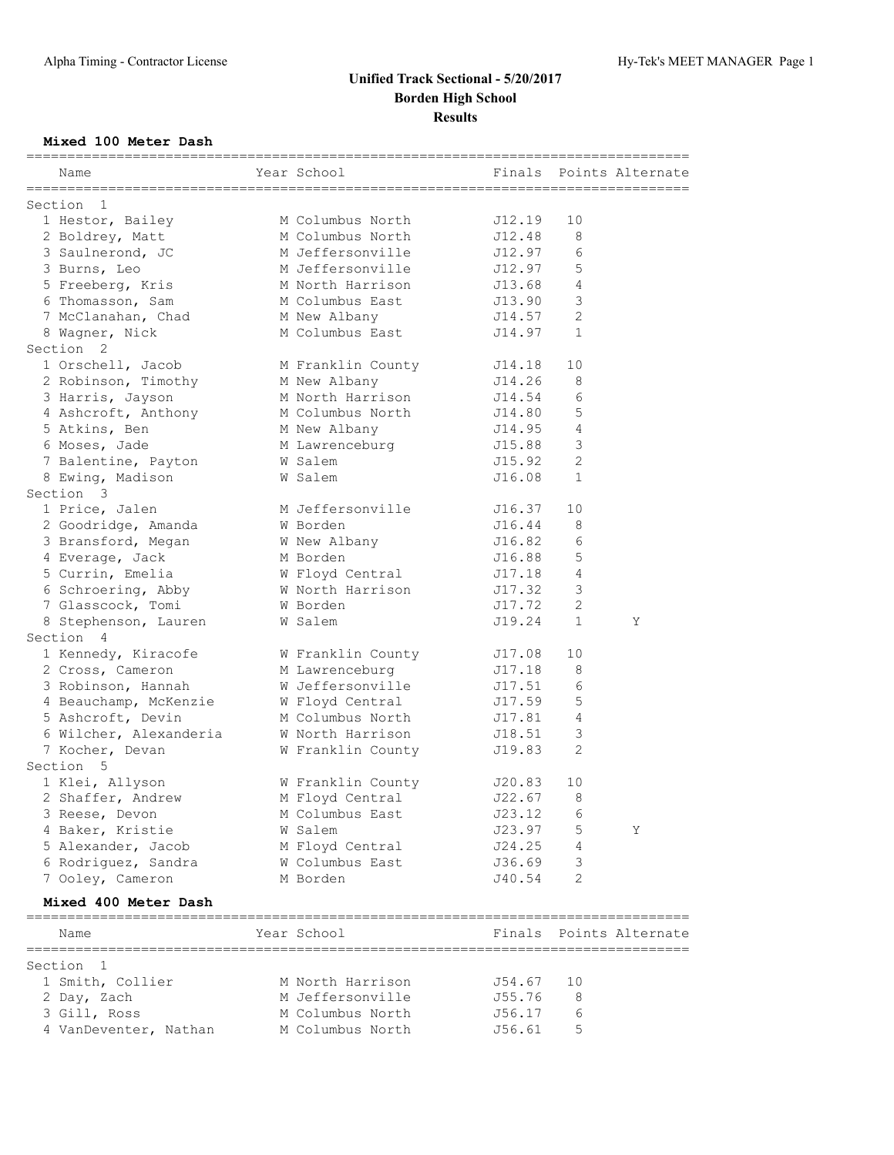### **Mixed 100 Meter Dash**

| Name                                   | Year School       | Finals |              | Points Alternate                           |
|----------------------------------------|-------------------|--------|--------------|--------------------------------------------|
| Section<br>1                           |                   |        |              |                                            |
| 1 Hestor, Bailey                       | M Columbus North  | J12.19 | 10           |                                            |
| 2 Boldrey, Matt                        | M Columbus North  | J12.48 | 8            |                                            |
| 3 Saulnerond, JC                       | M Jeffersonville  | J12.97 | 6            |                                            |
| 3 Burns, Leo                           | M Jeffersonville  | J12.97 | 5            |                                            |
| 5 Freeberg, Kris                       | M North Harrison  | J13.68 | 4            |                                            |
| 6 Thomasson, Sam                       | M Columbus East   | J13.90 | 3            |                                            |
| 7 McClanahan, Chad                     | M New Albany      | J14.57 | $\mathbf{2}$ |                                            |
| 8 Wagner, Nick                         | M Columbus East   | J14.97 | $\mathbf 1$  |                                            |
| Section <sub>2</sub>                   |                   |        |              |                                            |
| 1 Orschell, Jacob                      | M Franklin County | J14.18 | 10           |                                            |
| 2 Robinson, Timothy                    | M New Albany      | J14.26 | 8            |                                            |
| 3 Harris, Jayson                       | M North Harrison  | J14.54 | 6            |                                            |
| 4 Ashcroft, Anthony                    | M Columbus North  | J14.80 | 5            |                                            |
| 5 Atkins, Ben                          | M New Albany      | J14.95 | 4            |                                            |
| 6 Moses, Jade                          | M Lawrenceburg    | J15.88 | 3            |                                            |
| 7 Balentine, Payton                    | W Salem           | J15.92 | 2            |                                            |
| 8 Ewing, Madison                       | W Salem           | J16.08 | $\mathbf{1}$ |                                            |
| Section 3                              |                   |        |              |                                            |
| 1 Price, Jalen                         | M Jeffersonville  | J16.37 | 10           |                                            |
| 2 Goodridge, Amanda                    | W Borden          | J16.44 | 8            |                                            |
|                                        | W New Albany      |        | 6            |                                            |
| 3 Bransford, Megan                     |                   | J16.82 |              |                                            |
| 4 Everage, Jack                        | M Borden          | J16.88 | 5<br>4       |                                            |
| 5 Currin, Emelia                       | W Floyd Central   | J17.18 |              |                                            |
| 6 Schroering, Abby                     | W North Harrison  | J17.32 | 3            |                                            |
| 7 Glasscock, Tomi                      | W Borden          | J17.72 | $\mathbf{2}$ |                                            |
| 8 Stephenson, Lauren                   | W Salem           | J19.24 | $\mathbf 1$  | Υ                                          |
| Section 4                              |                   |        |              |                                            |
| 1 Kennedy, Kiracofe                    | W Franklin County | J17.08 | 10           |                                            |
| 2 Cross, Cameron                       | M Lawrenceburg    | J17.18 | 8            |                                            |
| 3 Robinson, Hannah                     | W Jeffersonville  | J17.51 | 6            |                                            |
| 4 Beauchamp, McKenzie                  | W Floyd Central   | J17.59 | 5            |                                            |
| 5 Ashcroft, Devin                      | M Columbus North  | J17.81 | 4            |                                            |
| 6 Wilcher, Alexanderia                 | W North Harrison  | J18.51 | 3            |                                            |
| 7 Kocher, Devan                        | W Franklin County | J19.83 | 2            |                                            |
| Section 5                              |                   |        |              |                                            |
| 1 Klei, Allyson                        | W Franklin County | J20.83 | 10           |                                            |
| 2 Shaffer, Andrew                      | M Floyd Central   | J22.67 | 8            |                                            |
| 3 Reese, Devon                         | M Columbus East   | J23.12 | 6            |                                            |
| 4 Baker, Kristie                       | W Salem           | J23.97 | 5            | Υ                                          |
| 5 Alexander, Jacob                     | M Floyd Central   | J24.25 | 4            |                                            |
| 6 Rodriguez, Sandra                    | W Columbus East   | J36.69 | 3            |                                            |
| 7 Ooley, Cameron                       | M Borden          | J40.54 | 2            |                                            |
| Mixed 400 Meter Dash                   |                   |        |              |                                            |
| ==============================<br>Name | Year School       |        |              | ===============<br>Finals Points Alternate |
| ===========<br>Section<br>1            |                   |        |              |                                            |
| 1 Smith, Collier                       | M North Harrison  | J54.67 | 10           |                                            |
| 2 Day, Zach                            | M Jeffersonville  | J55.76 | 8            |                                            |
| 3 Gill, Ross                           | M Columbus North  | J56.17 | 6            |                                            |
| 4 VanDeventer, Nathan                  | M Columbus North  | J56.61 | 5            |                                            |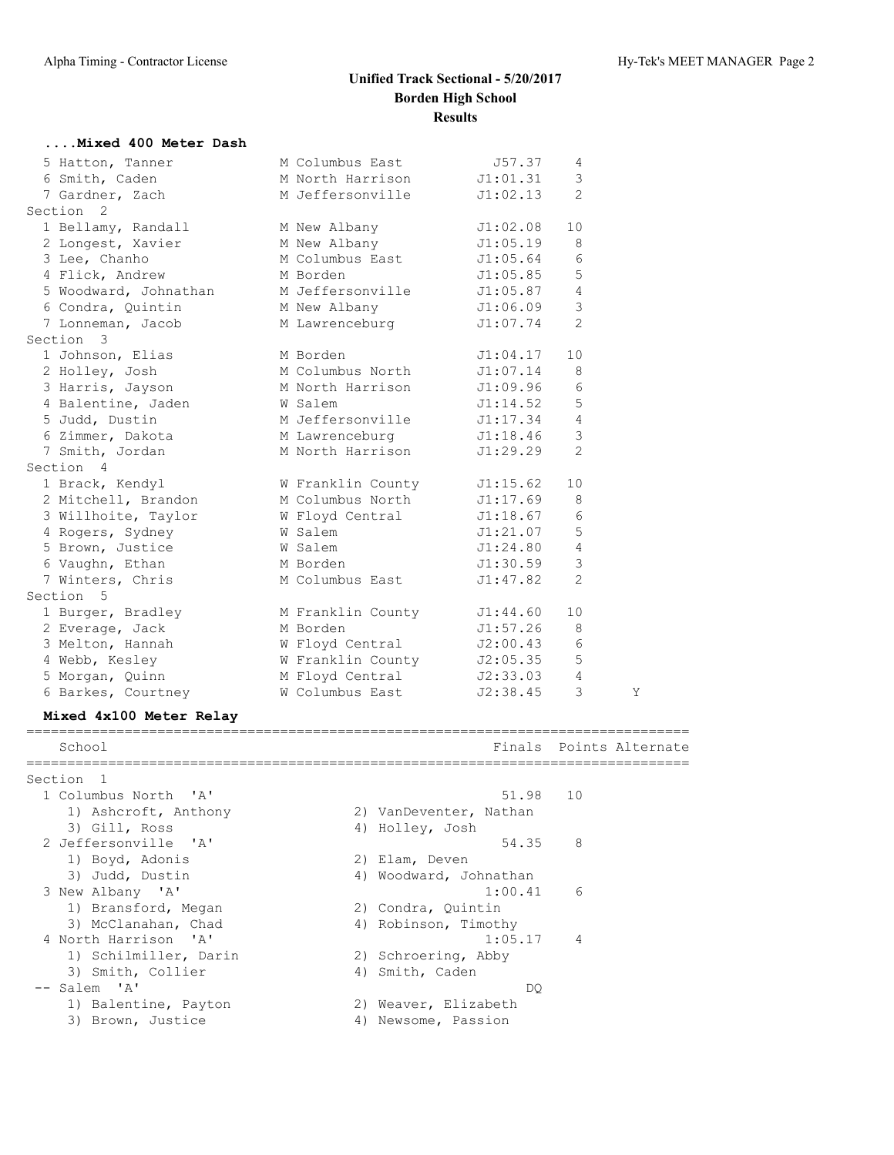| Mixed 400 Meter Dash                          |                                      |                     |                |                         |
|-----------------------------------------------|--------------------------------------|---------------------|----------------|-------------------------|
| 5 Hatton, Tanner                              | M Columbus East                      | J57.37              | 4              |                         |
| 6 Smith, Caden                                | M North Harrison                     | J1:01.31            | 3              |                         |
| 7 Gardner, Zach                               | M Jeffersonville<br>J1:02.13         |                     | 2              |                         |
| Section<br>2                                  |                                      |                     |                |                         |
| 1 Bellamy, Randall                            | M New Albany                         | J1:02.08            | 10             |                         |
| 2 Longest, Xavier                             | M New Albany                         | J1:05.19            | 8              |                         |
| 3 Lee, Chanho                                 | M Columbus East                      | J1:05.64            | 6              |                         |
| 4 Flick, Andrew                               | M Borden                             | J1:05.85            | 5              |                         |
| 5 Woodward, Johnathan                         | M Jeffersonville                     | J1:05.87            | 4              |                         |
| 6 Condra, Quintin                             | M New Albany                         | J1:06.09            | 3              |                         |
| 7 Lonneman, Jacob                             | M Lawrenceburg                       | J1:07.74            | 2              |                         |
| Section 3                                     |                                      |                     |                |                         |
| 1 Johnson, Elias                              | M Borden                             | J1:04.17            | 10             |                         |
| 2 Holley, Josh                                | M Columbus North                     | J1:07.14            | 8              |                         |
| 3 Harris, Jayson                              | M North Harrison                     | J1:09.96            | 6              |                         |
| 4 Balentine, Jaden                            | W Salem                              | $\mathtt{J1:14.52}$ | 5              |                         |
| 5 Judd, Dustin                                | M Jeffersonville                     | J1:17.34            | $\overline{4}$ |                         |
| 6 Zimmer, Dakota                              | M Lawrenceburg                       | J1:18.46            | 3              |                         |
| 7 Smith, Jordan                               | M North Harrison                     | J1:29.29            | 2              |                         |
| Section 4                                     |                                      |                     |                |                         |
| 1 Brack, Kendyl                               | W Franklin County J1:15.62           |                     | 10             |                         |
| 2 Mitchell, Brandon M Columbus North J1:17.69 |                                      |                     | 8              |                         |
| 3 Willhoite, Taylor M Floyd Central 51:18.67  |                                      |                     | 6              |                         |
| 4 Rogers, Sydney                              | W Salem                              | J1:21.07            | 5              |                         |
| 5 Brown, Justice                              | W Salem                              | J1:24.80            | $\overline{4}$ |                         |
| 6 Vaughn, Ethan                               | M Borden                             | J1:30.59            | 3              |                         |
| 7 Winters, Chris                              | M Columbus East                      | J1:47.82            | 2              |                         |
| Section 5                                     |                                      |                     |                |                         |
| 1 Burger, Bradley M Franklin County J1:44.60  |                                      |                     | 10             |                         |
| 2 Everage, Jack                               | M Borden                             | J1:57.26            | 8              |                         |
| 3 Melton, Hannah                              |                                      | J2:00.43            | 6              |                         |
| 4 Webb, Kesley                                | W Floyd Central<br>W Franklin County | J2:05.35            | 5              |                         |
| 5 Morgan, Quinn                               | M Floyd Central                      | J2:33.03            | 4              |                         |
| 6 Barkes, Courtney                            | W Columbus East J2:38.45             |                     | 3              | Y                       |
| Mixed 4x100 Meter Relay                       |                                      |                     |                |                         |
|                                               |                                      |                     |                |                         |
| School                                        |                                      |                     |                | Finals Points Alternate |
| Section 1                                     |                                      |                     |                |                         |
| 1 Columbus North 'A'                          |                                      | 51.98               | 10             |                         |
| 1) Ashcroft, Anthony                          | 2) VanDeventer, Nathan               |                     |                |                         |
| 3) Gill, Ross                                 | 4) Holley, Josh                      |                     |                |                         |
| 2 Jeffersonville<br>' A'                      |                                      | 54.35               | 8              |                         |
| 1) Boyd, Adonis                               | 2) Elam, Deven                       |                     |                |                         |
| 3) Judd, Dustin                               | 4) Woodward, Johnathan               |                     |                |                         |
| 3 New Albany 'A'                              |                                      | 1:00.41             | 6              |                         |
| 1) Bransford, Megan                           | 2) Condra, Quintin                   |                     |                |                         |
|                                               |                                      |                     |                |                         |

3) McClanahan, Chad 1988 (4) Robinson, Timothy 4 North Harrison 'A' 1:05.17 4 1) Schilmiller, Darin 2) Schroering, Abby

```
3) Smith, Collier (4) Smith, Caden
 -- Salem 'A' DQ
 1) Balentine, Payton 2) Weaver, Elizabeth
```
3) Brown, Justice (4) Newsome, Passion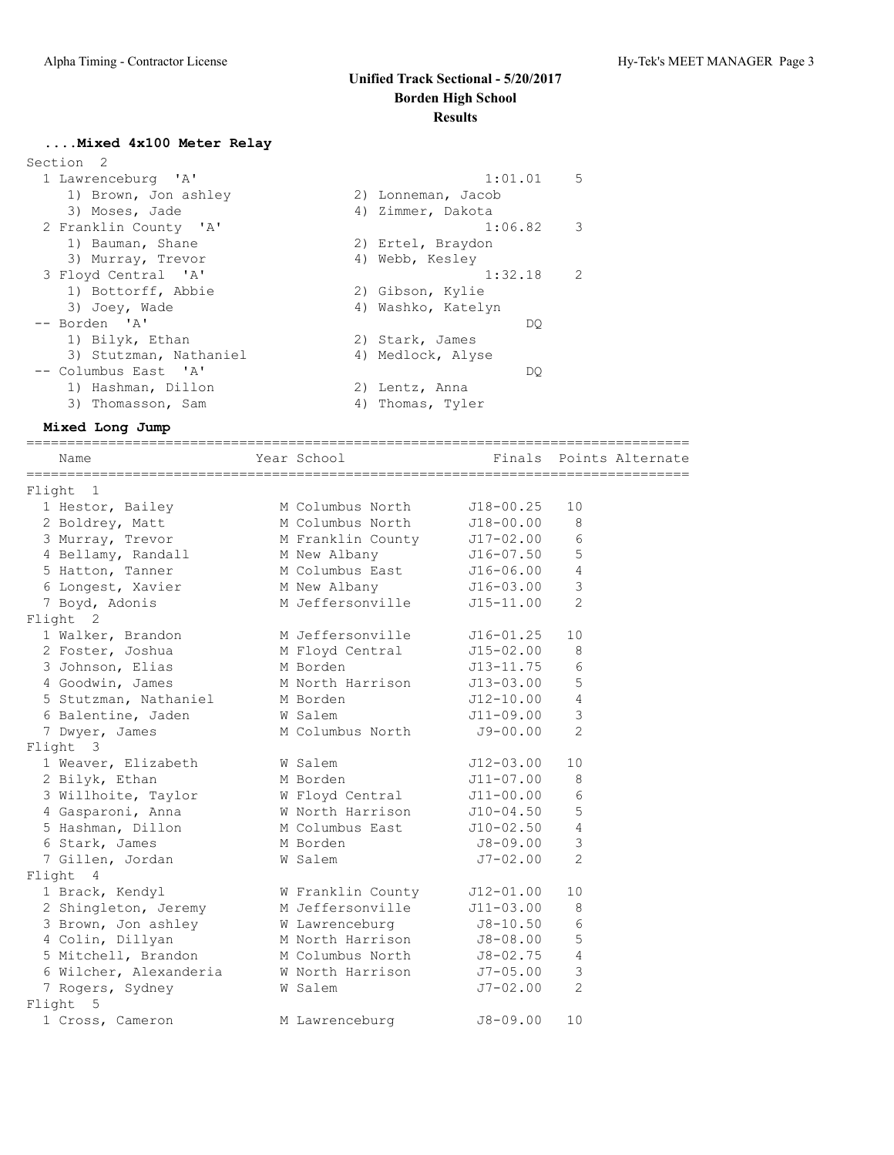#### **....Mixed 4x100 Meter Relay**

| Section 2 |                        |                    |     |               |
|-----------|------------------------|--------------------|-----|---------------|
|           | 1 Lawrenceburg 'A'     | 1:01.01            |     | 5             |
|           | 1) Brown, Jon ashley   | 2) Lonneman, Jacob |     |               |
|           | 3) Moses, Jade         | 4) Zimmer, Dakota  |     |               |
|           | 2 Franklin County 'A'  | 1:06.82            |     | 3             |
|           | 1) Bauman, Shane       | 2) Ertel, Braydon  |     |               |
|           | 3) Murray, Trevor      | 4) Webb, Kesley    |     |               |
|           | 3 Floyd Central 'A'    | 1:32.18            |     | $\mathcal{L}$ |
|           | 1) Bottorff, Abbie     | 2) Gibson, Kylie   |     |               |
|           | 3) Joey, Wade          | 4) Washko, Katelyn |     |               |
|           | -- Borden 'A'          |                    | DO  |               |
|           | 1) Bilyk, Ethan        | 2) Stark, James    |     |               |
|           | 3) Stutzman, Nathaniel | 4) Medlock, Alyse  |     |               |
|           | -- Columbus East 'A'   |                    | DO. |               |
|           | 1) Hashman, Dillon     | 2) Lentz, Anna     |     |               |
|           | 3) Thomasson, Sam      | 4) Thomas, Tyler   |     |               |
|           |                        |                    |     |               |

**Mixed Long Jump**

================================================================================= Name The Year School Team and The Points Alternate ================================================================================= Flight 1 1 Hestor, Bailey M Columbus North J18-00.25 10 2 Boldrey, Matt M Columbus North J18-00.00 8 3 Murray, Trevor M Franklin County J17-02.00 6 4 Bellamy, Randall M New Albany J16-07.50 5 5 Hatton, Tanner M Columbus East J16-06.00 4 6 Longest, Xavier M New Albany J16-03.00 3 7 Boyd, Adonis M Jeffersonville J15-11.00 2 Flight 2 1 Walker, Brandon M Jeffersonville J16-01.25 10 2 Foster, Joshua M Floyd Central J15-02.00 8 3 Johnson, Elias M Borden J13-11.75 6 4 Goodwin, James M North Harrison J13-03.00 5 5 Stutzman, Nathaniel M Borden J12-10.00 4 6 Balentine, Jaden W Salem J11-09.00 3 7 Dwyer, James M Columbus North J9-00.00 2 Flight 3 1 Weaver, Elizabeth W Salem J12-03.00 10 2 Bilyk, Ethan M Borden M 11-07.00 8 3 Willhoite, Taylor W Floyd Central J11-00.00 6 4 Gasparoni, Anna W North Harrison J10-04.50 5 5 Hashman, Dillon M Columbus East J10-02.50 4 6 Stark, James M Borden J8-09.00 3 7 Gillen, Jordan W Salem J7-02.00 2 Flight 4 1 Brack, Kendyl W Franklin County J12-01.00 10 2 Shingleton, Jeremy M Jeffersonville J11-03.00 8 3 Brown, Jon ashley M Lawrenceburg 58-10.50 6 4 Colin, Dillyan M North Harrison J8-08.00 5 5 Mitchell, Brandon M Columbus North J8-02.75 4 6 Wilcher, Alexanderia W North Harrison J7-05.00 3 7 Rogers, Sydney W Salem J7-02.00 2 Flight 5 1 Cross, Cameron M Lawrenceburg J8-09.00 10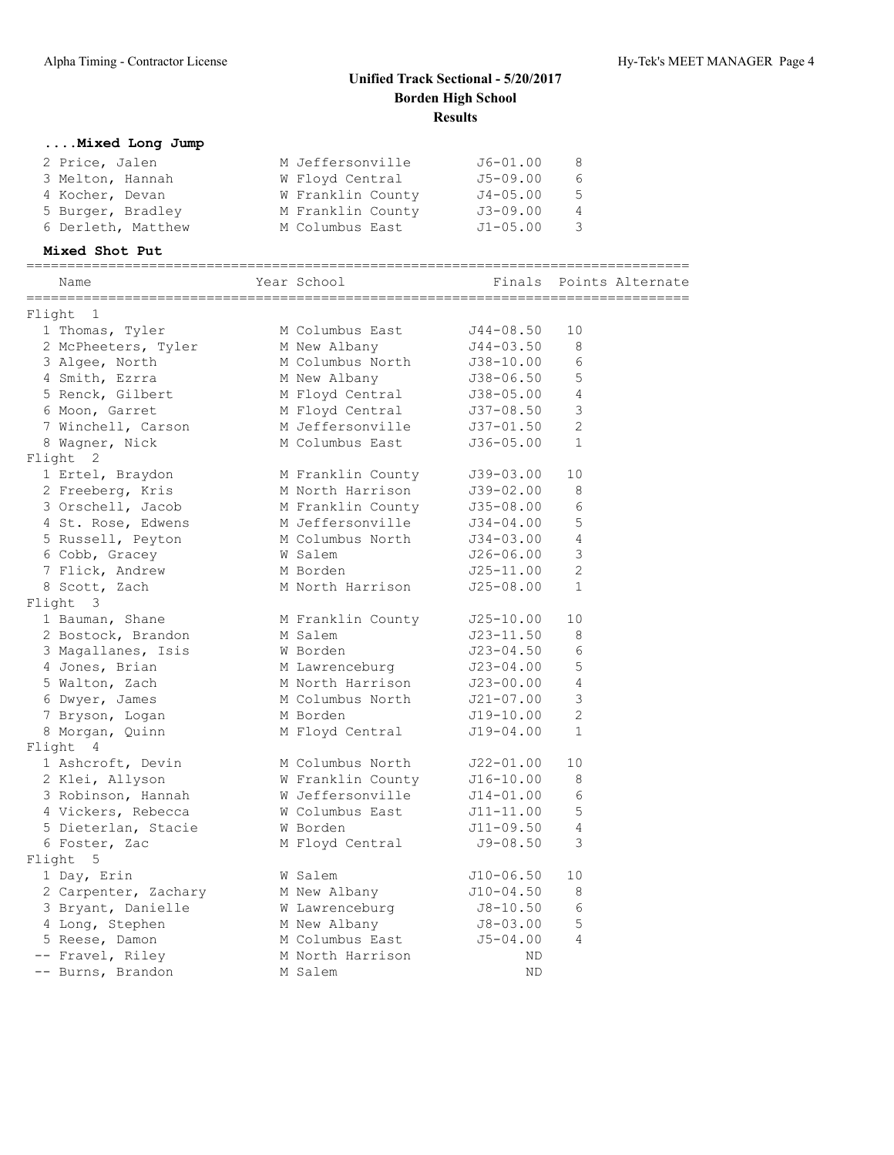| Mixed Long Jump                                                                                                                         |                            |                                |                         |
|-----------------------------------------------------------------------------------------------------------------------------------------|----------------------------|--------------------------------|-------------------------|
| 2 Price, Jalen                                                                                                                          | M Jeffersonville 56-01.00  |                                | 8                       |
| 3 Melton, Hannah M Floyd Central 55-09.00                                                                                               |                            |                                | 6                       |
| 4 Kocher, Devan                                                                                                                         | W Franklin County J4-05.00 |                                | 5                       |
| 5 Burger, Bradley M Franklin County 53-09.00                                                                                            |                            |                                | $\overline{4}$          |
| 6 Derleth, Matthew                                                                                                                      | M Columbus East            | $J1 - 05.00$                   | 3                       |
| Mixed Shot Put                                                                                                                          |                            |                                |                         |
| Name                                                                                                                                    | Year School                |                                | Finals Points Alternate |
| Flight 1                                                                                                                                |                            |                                |                         |
| 1 Thomas, Tyler                                                                                                                         | M Columbus East J44-08.50  |                                | 10                      |
|                                                                                                                                         |                            |                                | 8                       |
| 2 McPheeters, Tyler M New Albany 514-03.50<br>3 Algee, North M Columbus North 538-10.00                                                 |                            |                                | 6                       |
| 4 Smith, Ezrra                                                                                                                          | M New Albany               | J38-06.50                      | 5                       |
|                                                                                                                                         |                            |                                | $\overline{4}$          |
| 5 Renck, Gilbert M Floyd Central 138-05.00<br>6 Moon, Garret M Floyd Central 137-08.50<br>7 Winchell, Carson M Jeffersonville 137-01.50 |                            |                                | $\mathsf 3$             |
| 7 Winchell, Carson                                                                                                                      |                            |                                | 2                       |
| 8 Wagner, Nick                                                                                                                          | M Columbus East            | $J36-05.00 1$                  |                         |
| Flight 2                                                                                                                                |                            |                                |                         |
| 1 Ertel, Braydon M Franklin County                                                                                                      |                            | J39-03.00                      | 10                      |
| 2 Freeberg, Kris M North Harrison                                                                                                       |                            | J39-02.00                      | 8                       |
| 3 Orschell, Jacob                                                                                                                       | M Franklin County          | $J35-08.00$                    | 6                       |
| 4 St. Rose, Edwens                                                                                                                      | M Jeffersonville           | $J33 - 00.00$<br>$J34 - 04.00$ | 5                       |
| 5 Russell, Peyton                                                                                                                       | M Columbus North           | $J34 - 03.00$                  | $\overline{4}$          |
| 6 Cobb, Gracey                                                                                                                          | W Salem                    | J26-06.00                      | 3                       |
| 7 Flick, Andrew                                                                                                                         | M Borden                   | J25-11.00                      | 2                       |
| 8 Scott, Zach                                                                                                                           | M North Harrison           | $J25 - 08.00$                  | $\mathbf{1}$            |
| Flight 3                                                                                                                                |                            |                                |                         |
| 1 Bauman, Shane                                                                                                                         | M Franklin County          | J25-10.00                      | 10                      |
| 2 Bostock, Brandon M Salem                                                                                                              |                            | J23-11.50                      | 8                       |
| 3 Magallanes, Isis                                                                                                                      | W Borden                   | J23-04.50                      | 6                       |
| 4 Jones, Brian                                                                                                                          | M Lawrenceburg             | $J23 - 04.00$                  | 5                       |
| 5 Walton, Zach                                                                                                                          | M North Harrison           | J23-00.00                      | $\overline{4}$          |
| 6 Dwyer, James                                                                                                                          | M Columbus North           | J21-07.00<br>J19-10.00         | $\mathfrak{Z}$          |
| 7 Bryson, Logan                                                                                                                         | M Borden                   |                                | 2                       |
| 8 Morgan, Quinn                                                                                                                         | M Floyd Central            | J19-04.00                      | 1                       |
| Flight 4                                                                                                                                |                            |                                |                         |
| 1 Ashcroft, Devin                                                                                                                       | M Columbus North           | J22-01.00                      | 10                      |
| 2 Klei, Allyson                                                                                                                         | W Franklin County          | $J16 - 10.00$                  | 8                       |
| 3 Robinson, Hannah                                                                                                                      | W Jeffersonville           | $J14 - 01.00$                  | 6                       |
| 4 Vickers, Rebecca                                                                                                                      | W Columbus East            | $J11 - 11.00$                  | 5                       |
| 5 Dieterlan, Stacie                                                                                                                     | W Borden                   | $J11 - 09.50$                  | 4                       |
| 6 Foster, Zac                                                                                                                           | M Floyd Central            | $J9 - 08.50$                   | 3                       |
| Flight<br>5                                                                                                                             |                            |                                |                         |
| 1 Day, Erin                                                                                                                             | W Salem                    | $J10 - 06.50$                  | 10                      |
| 2 Carpenter, Zachary                                                                                                                    | M New Albany               | $J10-04.50$                    | 8                       |
| 3 Bryant, Danielle                                                                                                                      | W Lawrenceburg             | $J8 - 10.50$                   | 6                       |
| 4 Long, Stephen                                                                                                                         | M New Albany               | $J8 - 03.00$                   | 5                       |
| 5 Reese, Damon                                                                                                                          | M Columbus East            | $J5 - 04.00$                   | 4                       |
| -- Fravel, Riley                                                                                                                        | M North Harrison           | ND                             |                         |
| -- Burns, Brandon                                                                                                                       | M Salem                    | ND                             |                         |